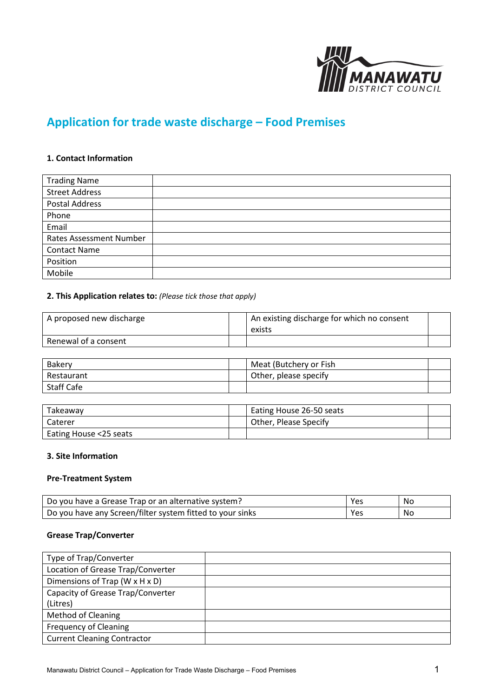

# **Application for trade waste discharge – Food Premises**

#### **1. Contact Information**

| <b>Trading Name</b>     |  |
|-------------------------|--|
| <b>Street Address</b>   |  |
| <b>Postal Address</b>   |  |
| Phone                   |  |
| Email                   |  |
| Rates Assessment Number |  |
| <b>Contact Name</b>     |  |
| Position                |  |
| Mobile                  |  |

## **2. This Application relates to:** *(Please tick those that apply)*

| A proposed new discharge | <sup>1</sup> An existing discharge for which no consent<br>exists |  |
|--------------------------|-------------------------------------------------------------------|--|
| Renewal of a consent     |                                                                   |  |

| <b>Bakery</b> | Meat (Butchery or Fish |  |
|---------------|------------------------|--|
| Restaurant    | Other, please specify  |  |
| Staff Cafe    |                        |  |

| Takeaway               | Eating House 26-50 seats |  |
|------------------------|--------------------------|--|
| Caterer                | Other, Please Specify    |  |
| Eating House <25 seats |                          |  |

#### **3. Site Information**

#### **Pre-Treatment System**

| Do you have a Grease Trap or an alternative system?       | Yes | No. |
|-----------------------------------------------------------|-----|-----|
| Do you have any Screen/filter system fitted to your sinks | Yes | No. |

## **Grease Trap/Converter**

| Type of Trap/Converter             |  |
|------------------------------------|--|
| Location of Grease Trap/Converter  |  |
| Dimensions of Trap (W x H x D)     |  |
| Capacity of Grease Trap/Converter  |  |
| (Litres)                           |  |
| <b>Method of Cleaning</b>          |  |
| <b>Frequency of Cleaning</b>       |  |
| <b>Current Cleaning Contractor</b> |  |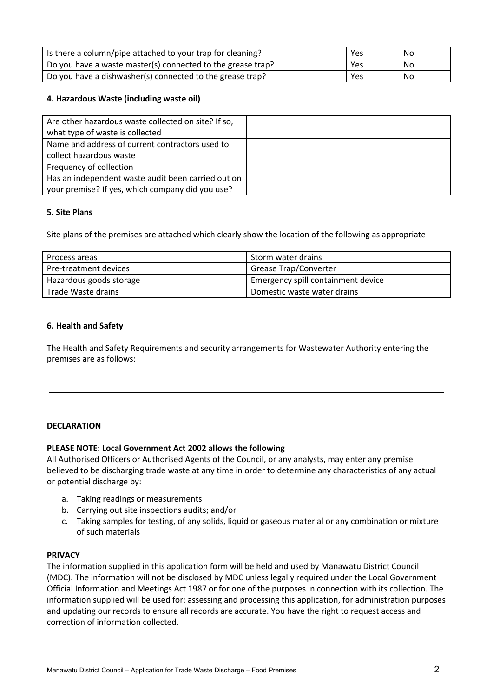| Is there a column/pipe attached to your trap for cleaning?  | Yes | No    |
|-------------------------------------------------------------|-----|-------|
| Do you have a waste master(s) connected to the grease trap? | Yes | No No |
| Do you have a dishwasher(s) connected to the grease trap?   | Yes | No.   |

## **4. Hazardous Waste (including waste oil)**

| Are other hazardous waste collected on site? If so, |  |
|-----------------------------------------------------|--|
| what type of waste is collected                     |  |
| Name and address of current contractors used to     |  |
| collect hazardous waste                             |  |
| Frequency of collection                             |  |
| Has an independent waste audit been carried out on  |  |
| your premise? If yes, which company did you use?    |  |

#### **5. Site Plans**

Site plans of the premises are attached which clearly show the location of the following as appropriate

| Process areas           | Storm water drains                 |  |
|-------------------------|------------------------------------|--|
| Pre-treatment devices   | <b>Grease Trap/Converter</b>       |  |
| Hazardous goods storage | Emergency spill containment device |  |
| Trade Waste drains      | Domestic waste water drains        |  |

## **6. Health and Safety**

The Health and Safety Requirements and security arrangements for Wastewater Authority entering the premises are as follows:

#### **DECLARATION**

#### **PLEASE NOTE: Local Government Act 2002 allows the following**

All Authorised Officers or Authorised Agents of the Council, or any analysts, may enter any premise believed to be discharging trade waste at any time in order to determine any characteristics of any actual or potential discharge by:

- a. Taking readings or measurements
- b. Carrying out site inspections audits; and/or
- c. Taking samples for testing, of any solids, liquid or gaseous material or any combination or mixture of such materials

#### **PRIVACY**

The information supplied in this application form will be held and used by Manawatu District Council (MDC). The information will not be disclosed by MDC unless legally required under the Local Government Official Information and Meetings Act 1987 or for one of the purposes in connection with its collection. The information supplied will be used for: assessing and processing this application, for administration purposes and updating our records to ensure all records are accurate. You have the right to request access and correction of information collected.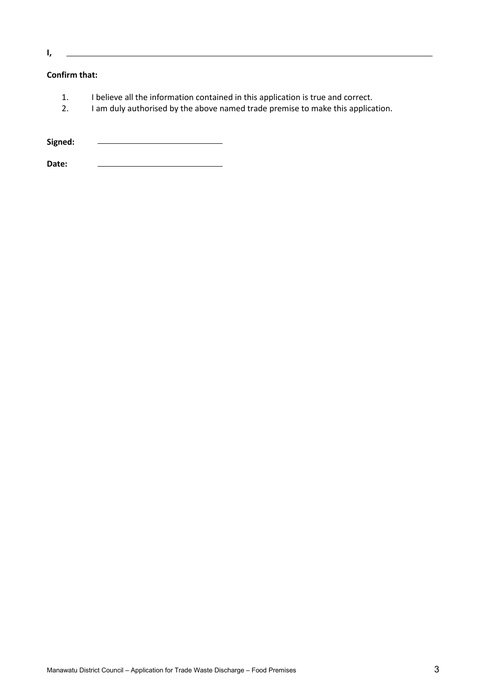**I,** 

# **Confirm that:**

- 1. I believe all the information contained in this application is true and correct.
- 2. I am duly authorised by the above named trade premise to make this application.

**Signed:**

**Date:**